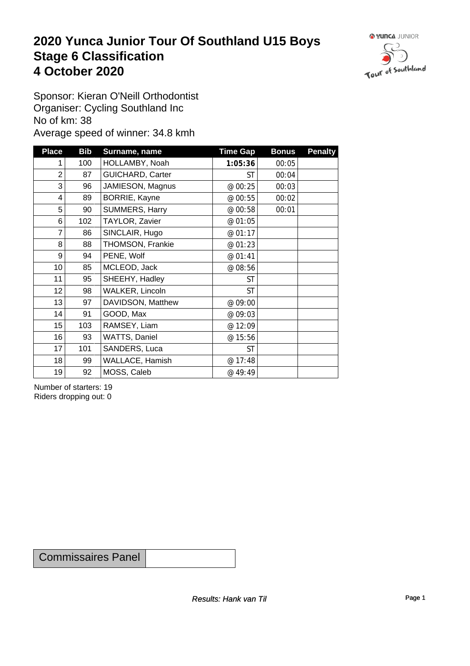#### **2020 Yunca Junior Tour Of Southland U15 Boys** Stage 6 Classification<br>4 October 2020 **4 October 2020**



Sponsor: Kieran O'Neill Orthodontist Organiser: Cycling Southland Inc No of km: 38 Average speed of winner: 34.8 kmh

| <b>Place</b>    | <b>Bib</b> | Surname, name           | <b>Time Gap</b> | <b>Bonus</b> | <b>Penalty</b> |
|-----------------|------------|-------------------------|-----------------|--------------|----------------|
| 1               | 100        | HOLLAMBY, Noah          | 1:05:36         | 00:05        |                |
| $\overline{2}$  | 87         | <b>GUICHARD, Carter</b> | ST              | 00:04        |                |
| 3               | 96         | JAMIESON, Magnus        | @ 00:25         | 00:03        |                |
| 4               | 89         | BORRIE, Kayne           | @ 00:55         | 00:02        |                |
| 5               | 90         | SUMMERS, Harry          | @ 00:58         | 00:01        |                |
| 6               | 102        | TAYLOR, Zavier          | @ 01:05         |              |                |
| $\overline{7}$  | 86         | SINCLAIR, Hugo          | @ 01:17         |              |                |
| 8               | 88         | THOMSON, Frankie        | @ 01:23         |              |                |
| 9               | 94         | PENE, Wolf              | @ 01:41         |              |                |
| 10 <sup>1</sup> | 85         | MCLEOD, Jack            | @ 08:56         |              |                |
| 11              | 95         | SHEEHY, Hadley          | <b>ST</b>       |              |                |
| 12              | 98         | <b>WALKER, Lincoln</b>  | <b>ST</b>       |              |                |
| 13              | 97         | DAVIDSON, Matthew       | @ 09:00         |              |                |
| 14              | 91         | GOOD, Max               | @ 09:03         |              |                |
| 15              | 103        | RAMSEY, Liam            | @ 12:09         |              |                |
| 16              | 93         | WATTS, Daniel           | @ 15:56         |              |                |
| 17              | 101        | SANDERS, Luca           | ST              |              |                |
| 18              | 99         | WALLACE, Hamish         | @ 17:48         |              |                |
| 19              | 92         | MOSS, Caleb             | @ 49:49         |              |                |

Number of starters: 19 Riders dropping out: 0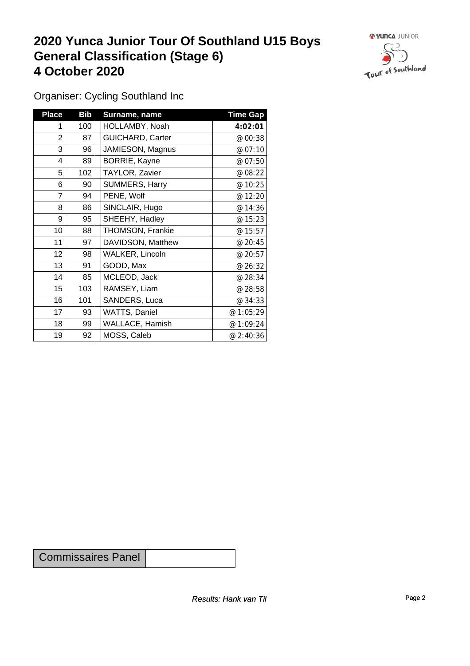#### **2020 Yunca Junior Tour Of Southland U15 Boys General Classification (Stage 6)**<br>4 October 2020 **4 October 2020**



Organiser: Cycling Southland Inc

| <b>Place</b>   | <b>Bib</b> | Surname, name           | <b>Time Gap</b> |
|----------------|------------|-------------------------|-----------------|
| 1              | 100        | HOLLAMBY, Noah          | 4:02:01         |
| $\overline{2}$ | 87         | <b>GUICHARD, Carter</b> | @ 00:38         |
| 3              | 96         | JAMIESON, Magnus        | @ 07:10         |
| 4              | 89         | BORRIE, Kayne           | @ 07:50         |
| 5              | 102        | TAYLOR, Zavier          | @ 08:22         |
| 6              | 90         | SUMMERS, Harry          | @ 10:25         |
| 7              | 94         | PENE, Wolf              | @ 12:20         |
| 8              | 86         | SINCLAIR, Hugo          | @ 14:36         |
| 9              | 95         | SHEEHY, Hadley          | @ 15:23         |
| 10             | 88         | THOMSON, Frankie        | @ 15:57         |
| 11             | 97         | DAVIDSON, Matthew       | @ 20:45         |
| 12             | 98         | WALKER, Lincoln         | @ 20:57         |
| 13             | 91         | GOOD, Max               | @ 26:32         |
| 14             | 85         | MCLEOD, Jack            | @ 28:34         |
| 15             | 103        | RAMSEY, Liam            | @ 28:58         |
| 16             | 101        | SANDERS, Luca           | @ 34:33         |
| 17             | 93         | WATTS, Daniel           | @ 1:05:29       |
| 18             | 99         | <b>WALLACE, Hamish</b>  | @ 1:09:24       |
| 19             | 92         | MOSS, Caleb             | @ 2:40:36       |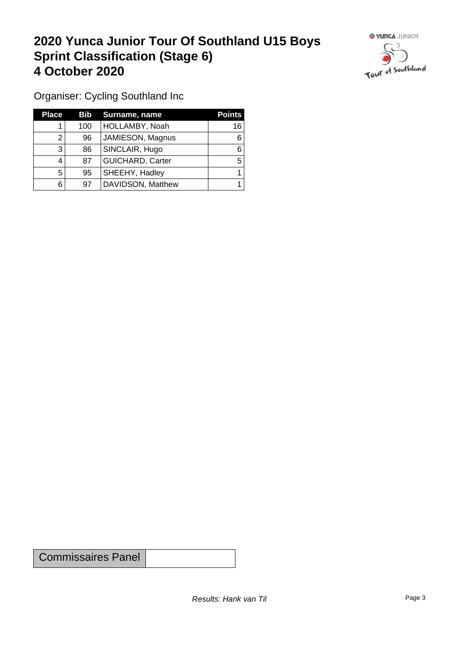## **2020 Yunca Junior Tour Of Southland U15 Boys Sprint Classification (Stage 6) 4 October 2020 19 Continued to the Continued Southland**



Organiser: Cycling Southland Inc

| <b>Place</b> | Bib | Surname, name           | <b>Points</b> |
|--------------|-----|-------------------------|---------------|
|              | 100 | HOLLAMBY, Noah          | 16            |
|              | 96  | JAMIESON, Magnus        |               |
| 3            | 86  | SINCLAIR, Hugo          |               |
|              | 87  | <b>GUICHARD, Carter</b> | 5             |
| 5            | 95  | SHEEHY, Hadley          |               |
| 6            | 97  | DAVIDSON, Matthew       |               |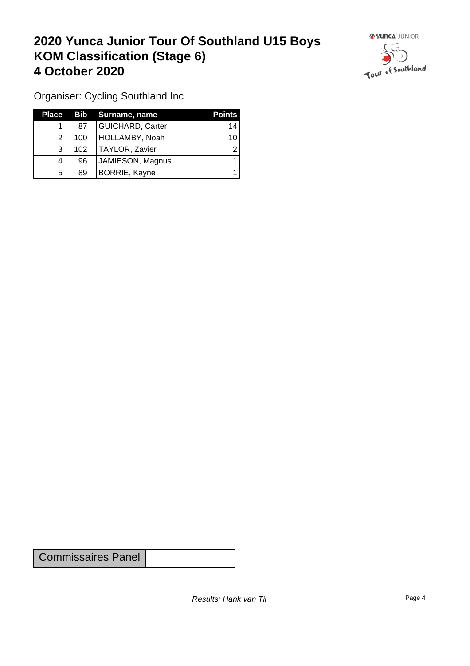## **2020 Yunca Junior Tour Of Southland U15 Boys KOM Classification (Stage 6) 4 October 2020 19 To 2020 19 To 2020 19 To 2020**



Organiser: Cycling Southland Inc

| <b>Place</b> |     | <b>Bib</b> Surname, name | <b>Points</b> |
|--------------|-----|--------------------------|---------------|
|              | 87  | <b>GUICHARD, Carter</b>  | 14            |
|              | 100 | HOLLAMBY, Noah           | 10            |
| ີ            | 102 | TAYLOR, Zavier           | ີ             |
|              | 96  | JAMIESON, Magnus         |               |
| 5            | 89  | BORRIE, Kayne            |               |